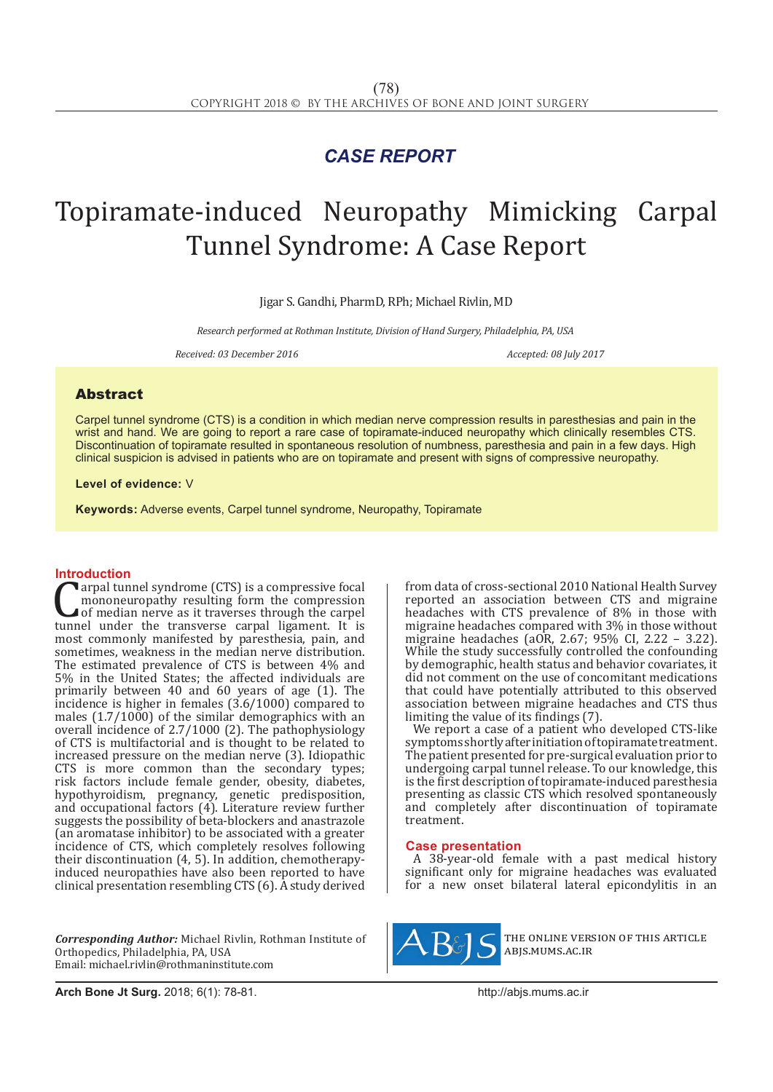## *CASE REPORT*

# Topiramate-induced Neuropathy Mimicking Carpal Tunnel Syndrome: A Case Report

Jigar S. Gandhi, PharmD, RPh; Michael Rivlin, MD

*Research performed at Rothman Institute, Division of Hand Surgery, Philadelphia, PA, USA*

*Received: 03 December 2016 Accepted: 08 July 2017*

### Abstract

Carpel tunnel syndrome (CTS) is a condition in which median nerve compression results in paresthesias and pain in the wrist and hand. We are going to report a rare case of topiramate-induced neuropathy which clinically resembles CTS. Discontinuation of topiramate resulted in spontaneous resolution of numbness, paresthesia and pain in a few days. High clinical suspicion is advised in patients who are on topiramate and present with signs of compressive neuropathy.

### **Level of evidence:** V

**Keywords:** Adverse events, Carpel tunnel syndrome, Neuropathy, Topiramate

**Introduction**<br>**Tarpal tunnel syndrome (CTS) is a compressive focal Carpal tunnel syndrome (CTS) is a compressive focal mononeuropathy resulting form the compression** of median nerve as it traverses through the carpel tunnel under the transverse carpal ligament. It is most commonly manife mononeuropathy resulting form the compression of median nerve as it traverses through the carpel most commonly manifested by paresthesia, pain, and sometimes, weakness in the median nerve distribution. The estimated prevalence of CTS is between 4% and 5% in the United States; the affected individuals are primarily between 40 and 60 years of age (1). The incidence is higher in females (3.6/1000) compared to males  $(1.7/1000)$  of the similar demographics with an overall incidence of 2.7/1000 (2). The pathophysiology of CTS is multifactorial and is thought to be related to increased pressure on the median nerve (3). Idiopathic CTS is more common than the secondary types; risk factors include female gender, obesity, diabetes, hypothyroidism, pregnancy, genetic predisposition, and occupational factors (4). Literature review further suggests the possibility of beta-blockers and anastrazole (an aromatase inhibitor) to be associated with a greater incidence of CTS, which completely resolves following their discontinuation (4, 5). In addition, chemotherapyinduced neuropathies have also been reported to have clinical presentation resembling CTS (6). A study derived

*Corresponding Author:* Michael Rivlin, Rothman Institute of Orthopedics, Philadelphia, PA, USA Email: michael.rivlin@rothmaninstitute.com

from data of cross-sectional 2010 National Health Survey reported an association between CTS and migraine headaches with CTS prevalence of 8% in those with migraine headaches compared with 3% in those without migraine headaches (aOR, 2.67; 95% CI, 2.22 – 3.22). While the study successfully controlled the confounding by demographic, health status and behavior covariates, it did not comment on the use of concomitant medications that could have potentially attributed to this observed association between migraine headaches and CTS thus limiting the value of its findings (7).

We report a case of a patient who developed CTS-like symptoms shortly after initiation of topiramate treatment. The patient presented for pre-surgical evaluation prior to undergoing carpal tunnel release. To our knowledge, this is the first description of topiramate-induced paresthesia presenting as classic CTS which resolved spontaneously and completely after discontinuation of topiramate treatment.

### **Case presentation**

A 38-year-old female with a past medical history significant only for migraine headaches was evaluated for a new onset bilateral lateral epicondylitis in an



the online version of this article abjs.mums.ac.ir

**Arch Bone Jt Surg.** 2018; 6(1): 78-81.http://abjs.mums.ac.ir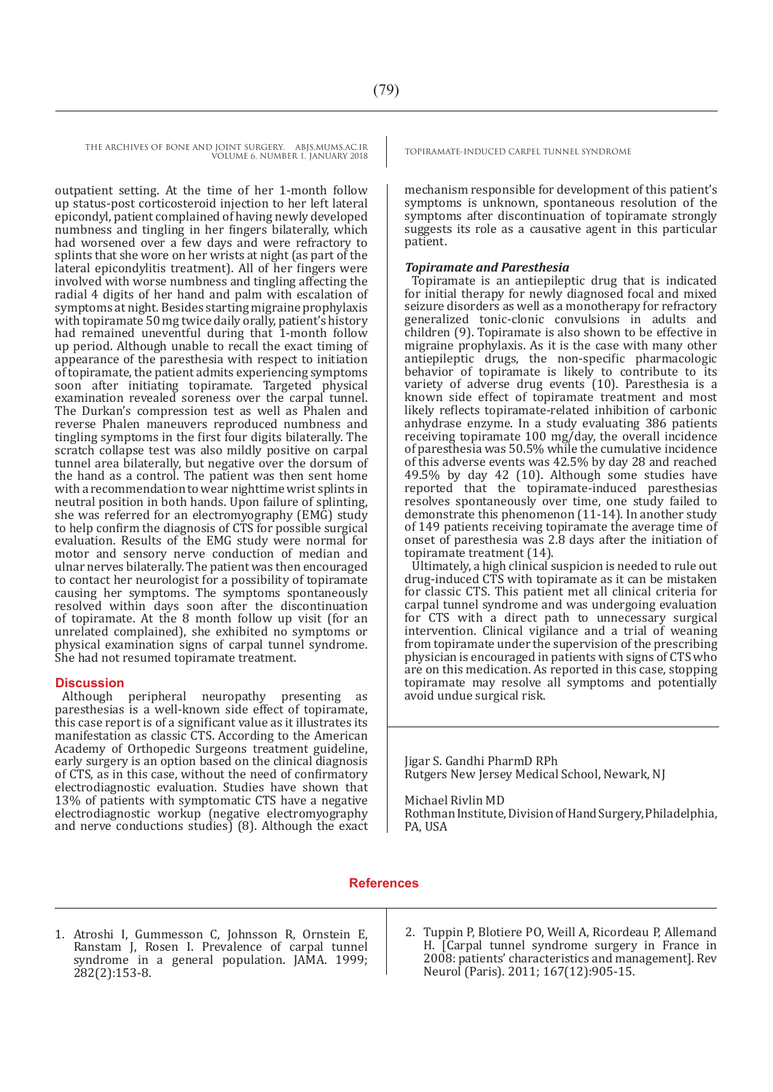THE ARCHIVES OF BONE AND JOINT SURGERY. ABJS.MUMS.AC.IR TOPIRAMATE-INDUCED CARPEL TUNNEL SYNDROME VOLUME 6. NUMBER 1. JANUARY 2018

outpatient setting. At the time of her 1-month follow up status-post corticosteroid injection to her left lateral epicondyl, patient complained of having newly developed numbness and tingling in her fingers bilaterally, which had worsened over a few days and were refractory to splints that she wore on her wrists at night (as part of the lateral epicondylitis treatment). All of her fingers were involved with worse numbness and tingling affecting the radial 4 digits of her hand and palm with escalation of symptoms at night. Besides starting migraine prophylaxis with topiramate 50 mg twice daily orally, patient's history had remained uneventful during that 1-month follow up period. Although unable to recall the exact timing of appearance of the paresthesia with respect to initiation of topiramate, the patient admits experiencing symptoms soon after initiating topiramate. Targeted physical examination revealed soreness over the carpal tunnel. The Durkan's compression test as well as Phalen and reverse Phalen maneuvers reproduced numbness and tingling symptoms in the first four digits bilaterally. The scratch collapse test was also mildly positive on carpal tunnel area bilaterally, but negative over the dorsum of the hand as a control. The patient was then sent home with a recommendation to wear nighttime wrist splints in neutral position in both hands. Upon failure of splinting, she was referred for an electromyography (EMG) study to help confirm the diagnosis of CTS for possible surgical evaluation. Results of the EMG study were normal for motor and sensory nerve conduction of median and ulnar nerves bilaterally. The patient was then encouraged to contact her neurologist for a possibility of topiramate causing her symptoms. The symptoms spontaneously resolved within days soon after the discontinuation of topiramate. At the 8 month follow up visit (for an unrelated complained), she exhibited no symptoms or physical examination signs of carpal tunnel syndrome. She had not resumed topiramate treatment.

### **Discussion**

Although peripheral neuropathy presenting as paresthesias is a well-known side effect of topiramate, this case report is of a significant value as it illustrates its manifestation as classic CTS. According to the American Academy of Orthopedic Surgeons treatment guideline, early surgery is an option based on the clinical diagnosis of CTS, as in this case, without the need of confirmatory electrodiagnostic evaluation. Studies have shown that 13% of patients with symptomatic CTS have a negative electrodiagnostic workup (negative electromyography and nerve conductions studies) (8). Although the exact

mechanism responsible for development of this patient's symptoms is unknown, spontaneous resolution of the symptoms after discontinuation of topiramate strongly suggests its role as a causative agent in this particular patient.

### *Topiramate and Paresthesia*

Topiramate is an antiepileptic drug that is indicated for initial therapy for newly diagnosed focal and mixed seizure disorders as well as a monotherapy for refractory generalized tonic-clonic convulsions in adults and children (9). Topiramate is also shown to be effective in migraine prophylaxis. As it is the case with many other antiepileptic drugs, the non-specific pharmacologic behavior of topiramate is likely to contribute to its variety of adverse drug events (10). Paresthesia is a known side effect of topiramate treatment and most likely reflects topiramate-related inhibition of carbonic anhydrase enzyme. In a study evaluating 386 patients receiving topiramate 100 mg/day, the overall incidence of paresthesia was 50.5% while the cumulative incidence of this adverse events was 42.5% by day 28 and reached 49.5% by day 42 (10). Although some studies have reported that the topiramate-induced paresthesias resolves spontaneously over time, one study failed to demonstrate this phenomenon (11-14). In another study of 149 patients receiving topiramate the average time of onset of paresthesia was 2.8 days after the initiation of topiramate treatment (14).

Ultimately, a high clinical suspicion is needed to rule out drug-induced CTS with topiramate as it can be mistaken for classic CTS. This patient met all clinical criteria for carpal tunnel syndrome and was undergoing evaluation for CTS with a direct path to unnecessary surgical intervention. Clinical vigilance and a trial of weaning from topiramate under the supervision of the prescribing physician is encouraged in patients with signs of CTS who are on this medication. As reported in this case, stopping topiramate may resolve all symptoms and potentially avoid undue surgical risk.

Jigar S. Gandhi PharmD RPh Rutgers New Jersey Medical School, Newark, NJ

Michael Rivlin MD

Rothman Institute, Division of Hand Surgery, Philadelphia, PA, USA

### **References**

- 1. Atroshi I, Gummesson C, Johnsson R, Ornstein E, Ranstam J, Rosen I. Prevalence of carpal tunnel syndrome in a general population. JAMA. 1999; 282(2):153-8.
- 2. Tuppin P, Blotiere PO, Weill A, Ricordeau P, Allemand H. [Carpal tunnel syndrome surgery in France in 2008: patients' characteristics and management]. Rev Neurol (Paris). 2011; 167(12):905-15.